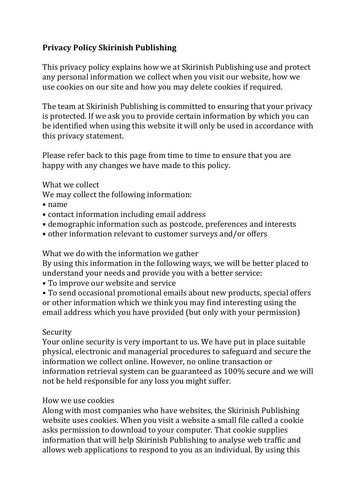# **Privacy Policy Skirinish Publishing**

This privacy policy explains how we at Skirinish Publishing use and protect any personal information we collect when you visit our website, how we use cookies on our site and how you may delete cookies if required.

The team at Skirinish Publishing is committed to ensuring that your privacy is protected. If we ask you to provide certain information by which you can be identified when using this website it will only be used in accordance with this privacy statement.

Please refer back to this page from time to time to ensure that you are happy with any changes we have made to this policy.

## What we collect

We may collect the following information:

- • name
- contact information including email address
- demographic information such as postcode, preferences and interests
- other information relevant to customer surveys and/or offers

What we do with the information we gather

By using this information in the following ways, we will be better placed to understand your needs and provide you with a better service:

• To improve our website and service

• To send occasional promotional emails about new products, special offers or other information which we think you may find interesting using the email address which you have provided (but only with your permission)

## Security

Your online security is very important to us. We have put in place suitable physical, electronic and managerial procedures to safeguard and secure the information we collect online. However, no online transaction or information retrieval system can be guaranteed as 100% secure and we will not be held responsible for any loss you might suffer.

### How we use cookies

Along with most companies who have websites, the Skirinish Publishing website uses cookies. When you visit a website a small file called a cookie asks permission to download to your computer. That cookie supplies information that will help Skirinish Publishing to analyse web traffic and allows web applications to respond to you as an individual. By using this